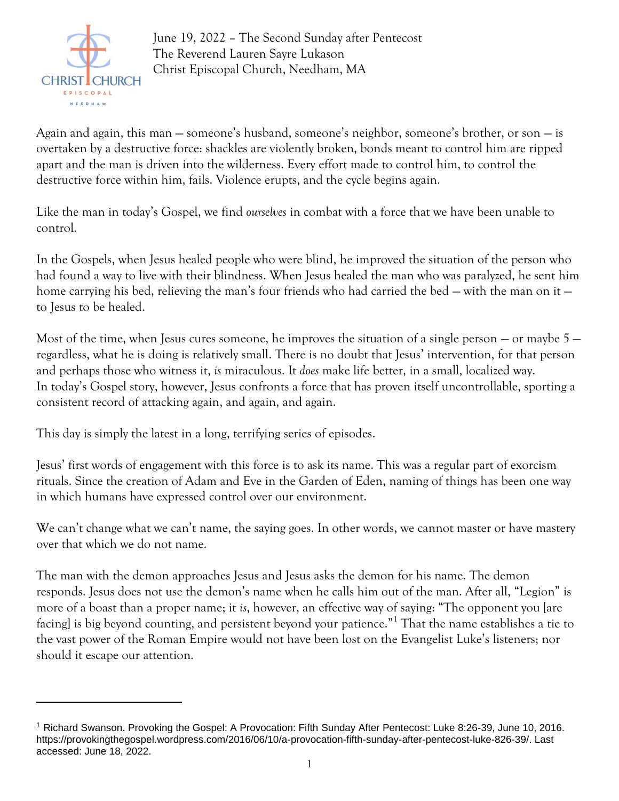

June 19, 2022 – The Second Sunday after Pentecost The Reverend Lauren Sayre Lukason Christ Episcopal Church, Needham, MA

Again and again, this man — someone's husband, someone's neighbor, someone's brother, or son — is overtaken by a destructive force: shackles are violently broken, bonds meant to control him are ripped apart and the man is driven into the wilderness. Every effort made to control him, to control the destructive force within him, fails. Violence erupts, and the cycle begins again.

Like the man in today's Gospel, we find *ourselves* in combat with a force that we have been unable to control.

In the Gospels, when Jesus healed people who were blind, he improved the situation of the person who had found a way to live with their blindness. When Jesus healed the man who was paralyzed, he sent him home carrying his bed, relieving the man's four friends who had carried the bed – with the man on it – to Jesus to be healed.

Most of the time, when Jesus cures someone, he improves the situation of a single person  $-$  or maybe  $5$ regardless, what he is doing is relatively small. There is no doubt that Jesus' intervention, for that person and perhaps those who witness it, *is* miraculous. It *does* make life better, in a small, localized way. In today's Gospel story, however, Jesus confronts a force that has proven itself uncontrollable, sporting a consistent record of attacking again, and again, and again.

This day is simply the latest in a long, terrifying series of episodes.

Jesus' first words of engagement with this force is to ask its name. This was a regular part of exorcism rituals. Since the creation of Adam and Eve in the Garden of Eden, naming of things has been one way in which humans have expressed control over our environment.

We can't change what we can't name, the saying goes. In other words, we cannot master or have mastery over that which we do not name.

The man with the demon approaches Jesus and Jesus asks the demon for his name. The demon responds. Jesus does not use the demon's name when he calls him out of the man. After all, "Legion" is more of a boast than a proper name; it *is*, however, an effective way of saying: "The opponent you [are facing] is big beyond counting, and persistent beyond your patience."<sup>1</sup> That the name establishes a tie to the vast power of the Roman Empire would not have been lost on the Evangelist Luke's listeners; nor should it escape our attention.

<sup>1</sup> Richard Swanson. Provoking the Gospel: A Provocation: Fifth Sunday After Pentecost: Luke 8:26-39, June 10, 2016. https://provokingthegospel.wordpress.com/2016/06/10/a-provocation-fifth-sunday-after-pentecost-luke-826-39/. Last accessed: June 18, 2022.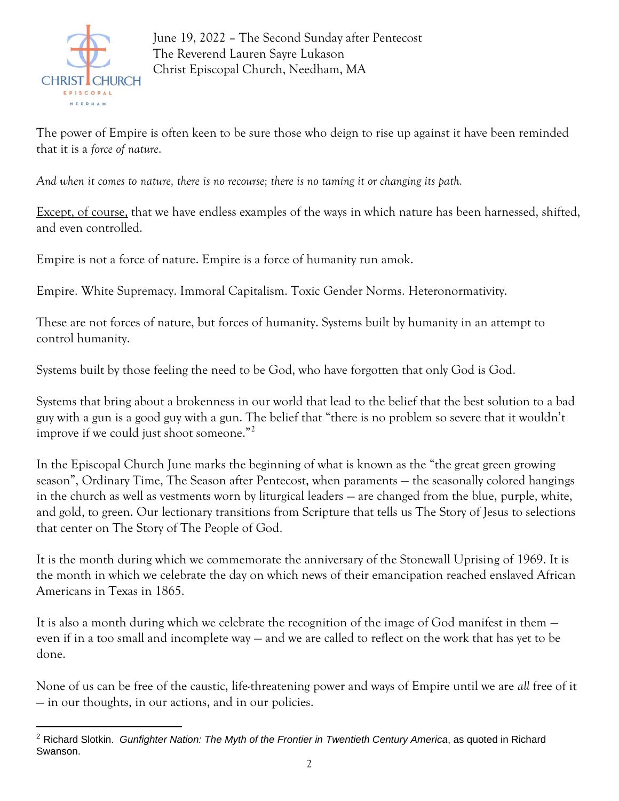

June 19, 2022 – The Second Sunday after Pentecost The Reverend Lauren Sayre Lukason Christ Episcopal Church, Needham, MA

The power of Empire is often keen to be sure those who deign to rise up against it have been reminded that it is a *force of nature*.

*And when it comes to nature, there is no recourse; there is no taming it or changing its path.*

Except, of course, that we have endless examples of the ways in which nature has been harnessed, shifted, and even controlled.

Empire is not a force of nature. Empire is a force of humanity run amok.

Empire. White Supremacy. Immoral Capitalism. Toxic Gender Norms. Heteronormativity.

These are not forces of nature, but forces of humanity. Systems built by humanity in an attempt to control humanity.

Systems built by those feeling the need to be God, who have forgotten that only God is God.

Systems that bring about a brokenness in our world that lead to the belief that the best solution to a bad guy with a gun is a good guy with a gun. The belief that "there is no problem so severe that it wouldn't improve if we could just shoot someone."<sup>2</sup>

In the Episcopal Church June marks the beginning of what is known as the "the great green growing season", Ordinary Time, The Season after Pentecost, when paraments — the seasonally colored hangings in the church as well as vestments worn by liturgical leaders — are changed from the blue, purple, white, and gold, to green. Our lectionary transitions from Scripture that tells us The Story of Jesus to selections that center on The Story of The People of God.

It is the month during which we commemorate the anniversary of the Stonewall Uprising of 1969. It is the month in which we celebrate the day on which news of their emancipation reached enslaved African Americans in Texas in 1865.

It is also a month during which we celebrate the recognition of the image of God manifest in them even if in a too small and incomplete way — and we are called to reflect on the work that has yet to be done.

None of us can be free of the caustic, life-threatening power and ways of Empire until we are *all* free of it — in our thoughts, in our actions, and in our policies.

<sup>2</sup> Richard Slotkin. *Gunfighter Nation: The Myth of the Frontier in Twentieth Century America*, as quoted in Richard Swanson.